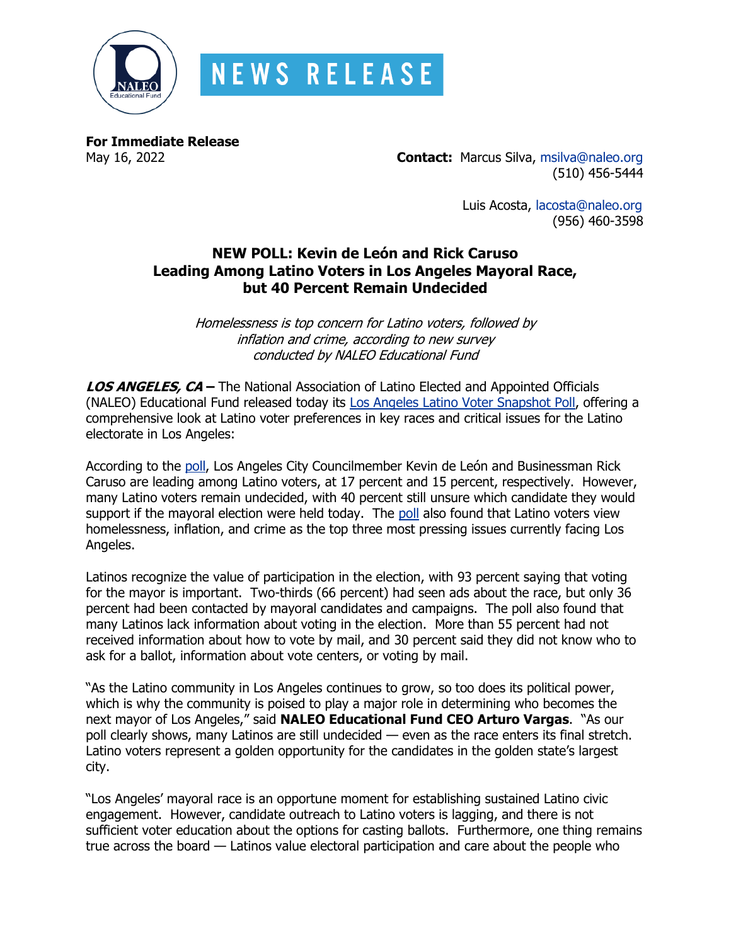

**For Immediate Release**

May 16, 2022 **Contact:** Marcus Silva, [msilva@naleo.org](mailto:msilva@naleo.org) (510) 456-5444

> Luis Acosta, [lacosta@naleo.org](mailto:lacosta@naleo.org) (956) 460-3598

# **NEW POLL: Kevin de León and Rick Caruso Leading Among Latino Voters in Los Angeles Mayoral Race, but 40 Percent Remain Undecided**

Homelessness is top concern for Latino voters, followed by inflation and crime, according to new survey conducted by NALEO Educational Fund

**LOS ANGELES, CA –** The National Association of Latino Elected and Appointed Officials (NALEO) Educational Fund released today its [Los Angeles Latino Voter Snapshot Poll,](https://bit.ly/2022LAtoplines) offering a comprehensive look at Latino voter preferences in key races and critical issues for the Latino electorate in Los Angeles:

According to the [poll,](https://bit.ly/2022LAtoplines) Los Angeles City Councilmember Kevin de León and Businessman Rick Caruso are leading among Latino voters, at 17 percent and 15 percent, respectively. However, many Latino voters remain undecided, with 40 percent still unsure which candidate they would support if the mayoral election were held today. The [poll](https://bit.ly/2022LAtoplines) also found that Latino voters view homelessness, inflation, and crime as the top three most pressing issues currently facing Los Angeles.

Latinos recognize the value of participation in the election, with 93 percent saying that voting for the mayor is important. Two-thirds (66 percent) had seen ads about the race, but only 36 percent had been contacted by mayoral candidates and campaigns. The poll also found that many Latinos lack information about voting in the election. More than 55 percent had not received information about how to vote by mail, and 30 percent said they did not know who to ask for a ballot, information about vote centers, or voting by mail.

"As the Latino community in Los Angeles continues to grow, so too does its political power, which is why the community is poised to play a major role in determining who becomes the next mayor of Los Angeles," said **NALEO Educational Fund CEO Arturo Vargas**. "As our poll clearly shows, many Latinos are still undecided — even as the race enters its final stretch. Latino voters represent a golden opportunity for the candidates in the golden state's largest city.

"Los Angeles' mayoral race is an opportune moment for establishing sustained Latino civic engagement. However, candidate outreach to Latino voters is lagging, and there is not sufficient voter education about the options for casting ballots. Furthermore, one thing remains true across the board — Latinos value electoral participation and care about the people who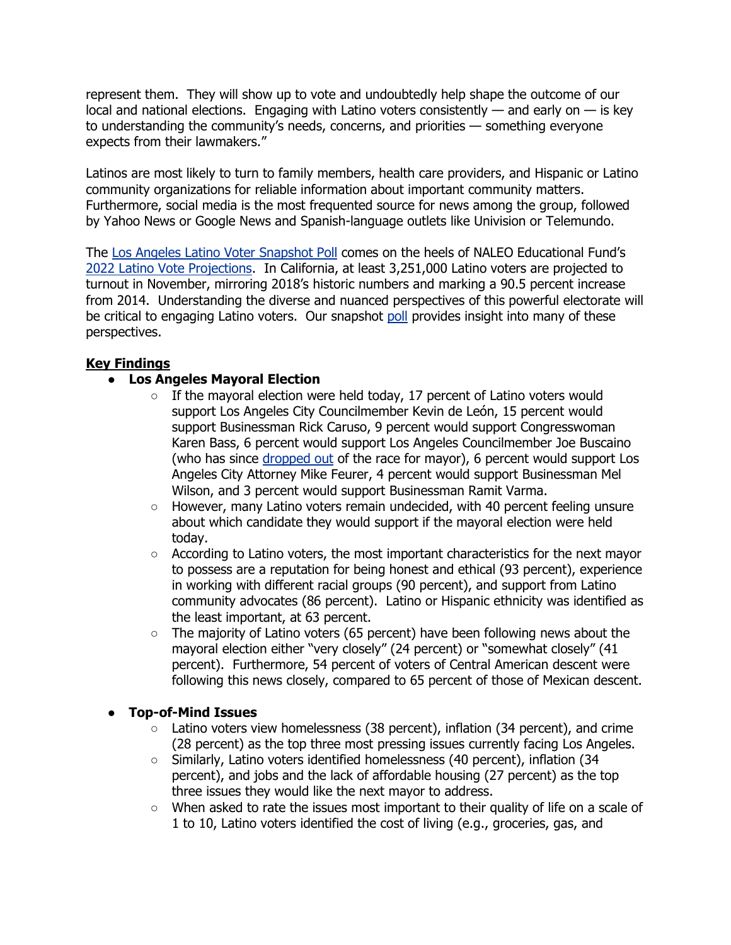represent them. They will show up to vote and undoubtedly help shape the outcome of our local and national elections. Engaging with Latino voters consistently  $-$  and early on  $-$  is key to understanding the community's needs, concerns, and priorities — something everyone expects from their lawmakers."

Latinos are most likely to turn to family members, health care providers, and Hispanic or Latino community organizations for reliable information about important community matters. Furthermore, social media is the most frequented source for news among the group, followed by Yahoo News or Google News and Spanish-language outlets like Univision or Telemundo.

The [Los Angeles Latino Voter Snapshot Poll](https://bit.ly/2022LAtoplines) comes on the heels of NALEO Educational Fund's [2022 Latino Vote Projections.](https://naleo.org/COMMS/PRA/2022/2022-Projections-Final.pdf) In California, at least 3,251,000 Latino voters are projected to turnout in November, mirroring 2018's historic numbers and marking a 90.5 percent increase from 2014. Understanding the diverse and nuanced perspectives of this powerful electorate will be critical to engaging Latino voters. Our snapshot [poll](https://bit.ly/2022LAtoplines) provides insight into many of these perspectives.

### **Key Findings**

## ● **Los Angeles Mayoral Election**

- $\circ$  If the mayoral election were held today, 17 percent of Latino voters would support Los Angeles City Councilmember Kevin de León, 15 percent would support Businessman Rick Caruso, 9 percent would support Congresswoman Karen Bass, 6 percent would support Los Angeles Councilmember Joe Buscaino (who has since [dropped out](https://www.latimes.com/california/story/2022-05-12/joe-buscaino-drops-out-2022-la-mayor-race-endorses-rick-caruso) of the race for mayor), 6 percent would support Los Angeles City Attorney Mike Feurer, 4 percent would support Businessman Mel Wilson, and 3 percent would support Businessman Ramit Varma.
- However, many Latino voters remain undecided, with 40 percent feeling unsure about which candidate they would support if the mayoral election were held today.
- $\circ$  According to Latino voters, the most important characteristics for the next mayor to possess are a reputation for being honest and ethical (93 percent), experience in working with different racial groups (90 percent), and support from Latino community advocates (86 percent). Latino or Hispanic ethnicity was identified as the least important, at 63 percent.
- $\circ$  The majority of Latino voters (65 percent) have been following news about the mayoral election either "very closely" (24 percent) or "somewhat closely" (41 percent). Furthermore, 54 percent of voters of Central American descent were following this news closely, compared to 65 percent of those of Mexican descent.

### ● **Top-of-Mind Issues**

- Latino voters view homelessness (38 percent), inflation (34 percent), and crime (28 percent) as the top three most pressing issues currently facing Los Angeles.
- Similarly, Latino voters identified homelessness (40 percent), inflation (34 percent), and jobs and the lack of affordable housing (27 percent) as the top three issues they would like the next mayor to address.
- When asked to rate the issues most important to their quality of life on a scale of 1 to 10, Latino voters identified the cost of living (e.g., groceries, gas, and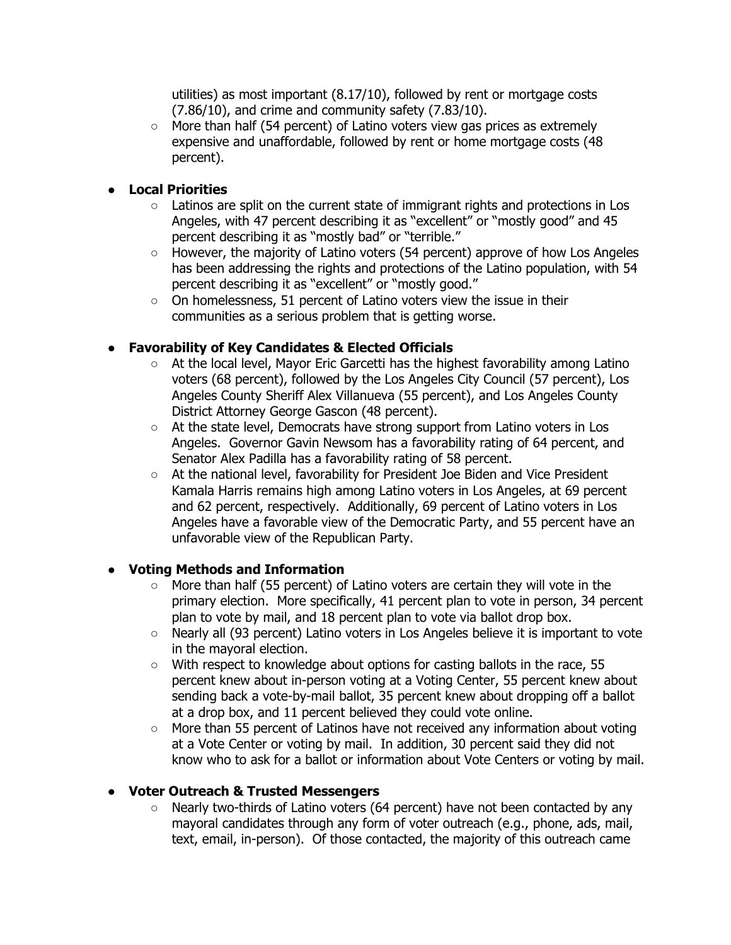utilities) as most important (8.17/10), followed by rent or mortgage costs (7.86/10), and crime and community safety (7.83/10).

More than half (54 percent) of Latino voters view gas prices as extremely expensive and unaffordable, followed by rent or home mortgage costs (48 percent).

#### ● **Local Priorities**

- $\circ$  Latinos are split on the current state of immigrant rights and protections in Los Angeles, with 47 percent describing it as "excellent" or "mostly good" and 45 percent describing it as "mostly bad" or "terrible."
- $\circ$  However, the majority of Latino voters (54 percent) approve of how Los Angeles has been addressing the rights and protections of the Latino population, with 54 percent describing it as "excellent" or "mostly good."
- On homelessness, 51 percent of Latino voters view the issue in their communities as a serious problem that is getting worse.

### ● **Favorability of Key Candidates & Elected Officials**

- At the local level, Mayor Eric Garcetti has the highest favorability among Latino voters (68 percent), followed by the Los Angeles City Council (57 percent), Los Angeles County Sheriff Alex Villanueva (55 percent), and Los Angeles County District Attorney George Gascon (48 percent).
- At the state level, Democrats have strong support from Latino voters in Los Angeles. Governor Gavin Newsom has a favorability rating of 64 percent, and Senator Alex Padilla has a favorability rating of 58 percent.
- At the national level, favorability for President Joe Biden and Vice President Kamala Harris remains high among Latino voters in Los Angeles, at 69 percent and 62 percent, respectively. Additionally, 69 percent of Latino voters in Los Angeles have a favorable view of the Democratic Party, and 55 percent have an unfavorable view of the Republican Party.

### ● **Voting Methods and Information**

- $\circ$  More than half (55 percent) of Latino voters are certain they will vote in the primary election. More specifically, 41 percent plan to vote in person, 34 percent plan to vote by mail, and 18 percent plan to vote via ballot drop box.
- Nearly all (93 percent) Latino voters in Los Angeles believe it is important to vote in the mayoral election.
- $\circ$  With respect to knowledge about options for casting ballots in the race, 55 percent knew about in-person voting at a Voting Center, 55 percent knew about sending back a vote-by-mail ballot, 35 percent knew about dropping off a ballot at a drop box, and 11 percent believed they could vote online.
- More than 55 percent of Latinos have not received any information about voting at a Vote Center or voting by mail. In addition, 30 percent said they did not know who to ask for a ballot or information about Vote Centers or voting by mail.

#### ● **Voter Outreach & Trusted Messengers**

○ Nearly two-thirds of Latino voters (64 percent) have not been contacted by any mayoral candidates through any form of voter outreach (e.g., phone, ads, mail, text, email, in-person). Of those contacted, the majority of this outreach came